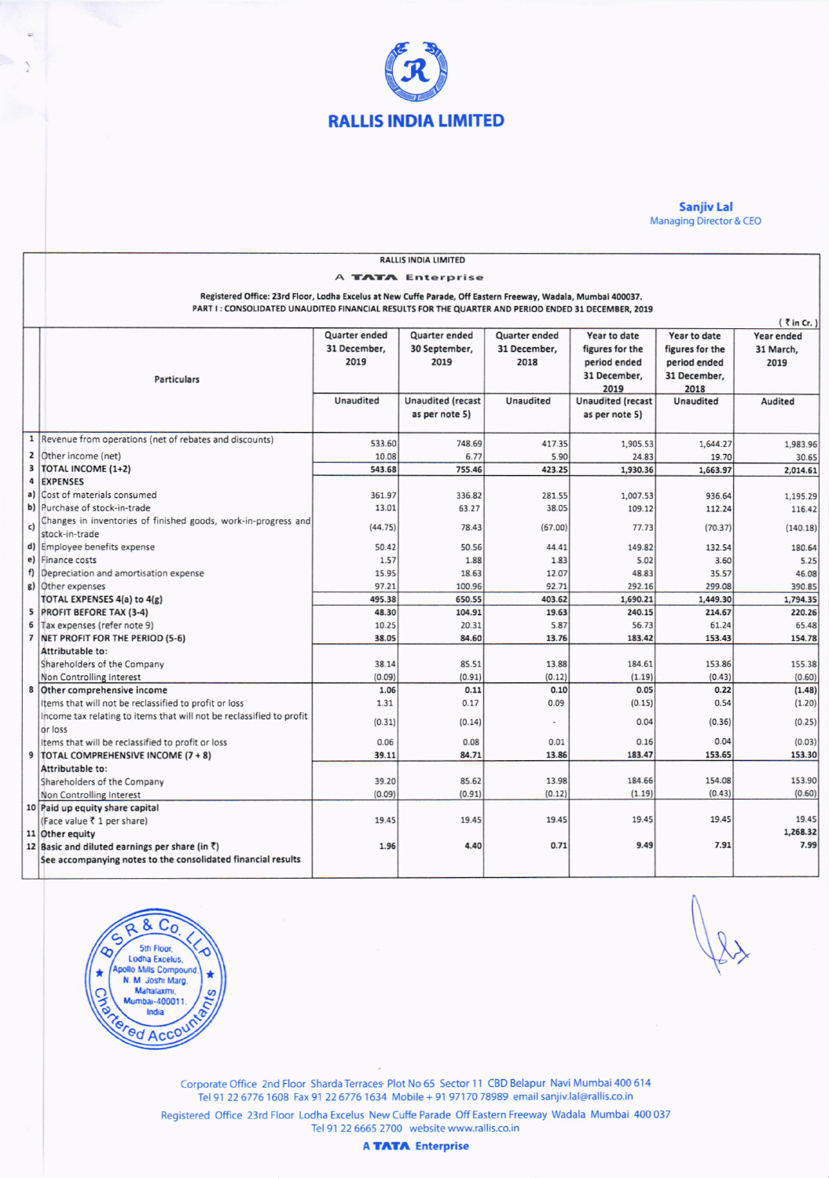

## **Sanjiv Lal**<br>Managing Director & CEO

|    | <b>RALLIS INDIA LIMITED</b>                                                                                   |                      |                          |                      |                          |                  |                  |
|----|---------------------------------------------------------------------------------------------------------------|----------------------|--------------------------|----------------------|--------------------------|------------------|------------------|
|    | A TATA Enterprise                                                                                             |                      |                          |                      |                          |                  |                  |
|    | Registered Office: 23rd Floor, Lodha Excelus at New Cuffe Parade, Off Eastern Freeway, Wadala, Mumbai 400037. |                      |                          |                      |                          |                  |                  |
|    | PART I : CONSOLIDATED UNAUDITED FINANCIAL RESULTS FOR THE QUARTER AND PERIOD ENDED 31 DECEMBER, 2019          |                      |                          |                      |                          |                  |                  |
|    | $(7 \text{ in Cr.})$                                                                                          |                      |                          |                      |                          |                  |                  |
|    |                                                                                                               | <b>Quarter ended</b> | <b>Quarter ended</b>     | <b>Quarter ended</b> | Year to date             | Year to date     | Year ended       |
|    |                                                                                                               | 31 December,         | 30 September,            | 31 December,         | figures for the          | figures for the  | 31 March,        |
|    |                                                                                                               | 2019                 | 2019                     | 2018                 | period ended             | period ended     | 2019             |
|    | <b>Particulars</b>                                                                                            |                      |                          |                      | 31 December,             | 31 December,     |                  |
|    |                                                                                                               |                      |                          |                      | 2019                     | 2018             |                  |
|    |                                                                                                               | <b>Unaudited</b>     | <b>Unaudited (recast</b> | <b>Unaudited</b>     | <b>Unaudited (recast</b> | <b>Unaudited</b> | Audited          |
|    |                                                                                                               |                      | as per note 5)           |                      | as per note 5)           |                  |                  |
|    | 1  Revenue from operations (net of rebates and discounts)                                                     |                      |                          |                      |                          |                  |                  |
|    |                                                                                                               | 533.60               | 748.69                   | 417.35               | 1,905.53                 | 1,644.27         | 1,983.96         |
| 3  | 2 Other income (net)<br>TOTAL INCOME (1+2)                                                                    | 10.08                | 6.77                     | 5.90                 | 24.83                    | 19.70            | 30.65            |
| 4  | <b>EXPENSES</b>                                                                                               | 543.68               | 755.46                   | 423.25               | 1,930.36                 | 1,663.97         | 2,014.61         |
|    | a) Cost of materials consumed                                                                                 | 361.97               | 336.82                   | 281.55               | 1,007.53                 | 936.64           | 1,195.29         |
|    | b) Purchase of stock-in-trade                                                                                 | 13.01                | 63.27                    | 38.05                | 109.12                   | 112.24           | 116.42           |
|    | Changes in inventories of finished goods, work-in-progress and                                                |                      |                          |                      |                          |                  |                  |
| c) | stock-in-trade                                                                                                | (44.75)              | 78.43                    | (67.00)              | 77.73                    | (70.37)          | (140.18)         |
|    | d) Employee benefits expense                                                                                  | 50.42                | 50.56                    | 44.41                | 149.82                   | 132.54           | 180.64           |
| e) | Finance costs                                                                                                 | 1.57                 | 1.88                     | 1.83                 | 5.02                     | 3.60             | 5.25             |
| f) | Depreciation and amortisation expense                                                                         | 15.95                | 18.63                    | 12.07                | 48.83                    | 35.57            | 46.08            |
|    | g) Other expenses                                                                                             | 97.21                | 100.96                   | 92.71                | 292.16                   | 299.08           | 390.85           |
|    | TOTAL EXPENSES 4(a) to 4(g)                                                                                   | 495.38               | 650.55                   | 403.62               | 1,690.21                 | 1,449.30         | 1,794.35         |
|    | 5 PROFIT BEFORE TAX (3-4)                                                                                     | 48.30                | 104.91                   | 19.63                | 240.15                   | 214.67           | 220.26           |
| 6  | Tax expenses (refer note 9)                                                                                   | 10.25                | 20.31                    | 5.87                 | 56.73                    | 61.24            | 65.48            |
|    | 7 NET PROFIT FOR THE PERIOD (5-6)                                                                             | 38.05                | 84.60                    | 13.76                | 183.42                   | 153.43           | 154.78           |
|    | Attributable to:                                                                                              |                      |                          |                      |                          |                  |                  |
|    | Shareholders of the Company                                                                                   | 38.14                | 85.51                    | 13.88                | 184.61                   | 153.86           | 155.38           |
|    | Non Controlling Interest                                                                                      | (0.09)<br>1.06       | (0.91)<br>0.11           | (0.12)<br>0.10       | (1.19)<br>0.05           | (0.43)<br>0.22   | (0.60)           |
|    | 8 Other comprehensive income<br>Items that will not be reclassified to profit or loss                         | 1.31                 | 0.17                     | 0.09                 | (0.15)                   | 0.54             | (1.48)<br>(1.20) |
|    | Income tax relating to items that will not be reclassified to profit                                          |                      |                          |                      |                          |                  |                  |
|    | or loss                                                                                                       | (0.31)               | (0.14)                   |                      | 0.04                     | (0.36)           | (0.25)           |
|    | Items that will be reclassified to profit or loss                                                             | 0.06                 | 0.08                     | 0.01                 | 0.16                     | 0.04             | (0.03)           |
|    | 9   TOTAL COMPREHENSIVE INCOME (7 + 8)                                                                        | 39.11                | 84.71                    | 13.86                | 183.47                   | 153.65           | 153.30           |
|    | Attributable to:                                                                                              |                      |                          |                      |                          |                  |                  |
|    | Shareholders of the Company                                                                                   | 39.20                | 85.62                    | 13.98                | 184.66                   | 154.08           | 153.90           |
|    | Non Controlling Interest                                                                                      | (0.09)               | (0.91)                   | (0.12)               | (1.19)                   | (0.43)           | (0.60)           |
|    | 10 Paid up equity share capital                                                                               |                      |                          |                      |                          |                  |                  |
|    | (Face value ₹ 1 per share)                                                                                    | 19.45                | 19.45                    | 19.45                | 19.45                    | 19.45            | 19.45            |
|    | 11 Other equity                                                                                               |                      |                          |                      |                          |                  | 1,268.32         |
|    | 12 Basic and diluted earnings per share (in $\bar{z}$ )                                                       | 1.96                 | 4.40                     | 0.71                 | 9.49                     | 7.91             | 7.99             |
|    | See accompanying notes to the consolidated financial results                                                  |                      |                          |                      |                          |                  |                  |
|    |                                                                                                               |                      |                          |                      |                          |                  |                  |



 $\lambda$ 

Corporate Office 2nd Floor Sharda Terraces Plot No 65 Sector 11 CBD Belapur Navi Mumbai 400 614 Tel 91 22 6776 1608 Fax 91 22 6776 1634 Mobile + 91 97170 78989 email sanjiv.lal@rallis.co.in

Registered Office 23rd Floor Lodha Excelus New Cuffe Parade Off Eastern Freeway Wadala Mumbai 400 037 Tel 91 22 6665 2700 website www.rallis.co.in

**A TATA** Enterprise